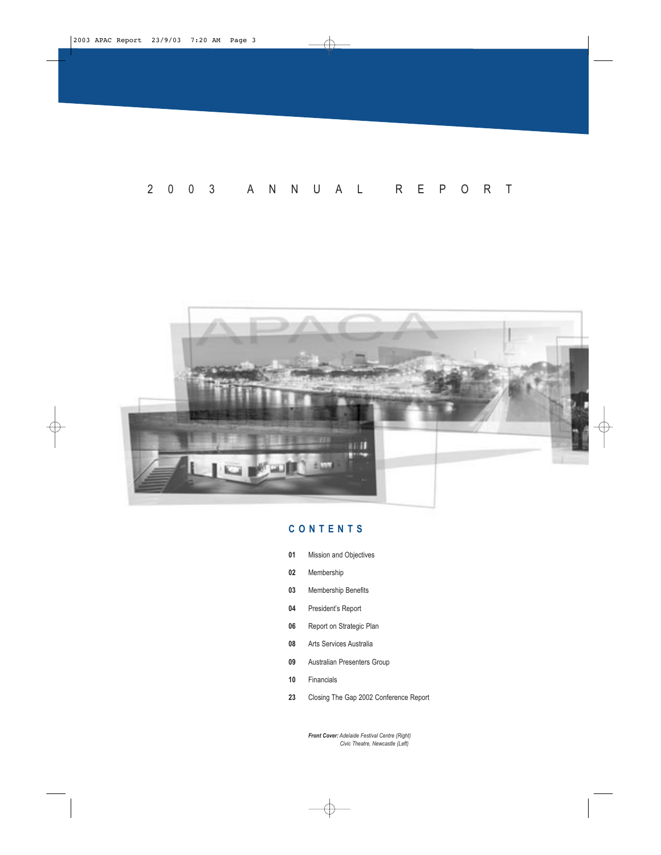</u>



# **CONTENTS**

- **01** Mission and Objectives
- **02** Membership
- **03** Membership Benefits
- **04** President's Report
- **06** Report on Strategic Plan
- **08** Arts Services Australia

€

- **09** Australian Presenters Group
- **10** Financials
- **23** Closing The Gap 2002 Conference Report

*Front Cover: Adelaide Festival Centre (Right) Civic Theatre, Newcastle (Left)*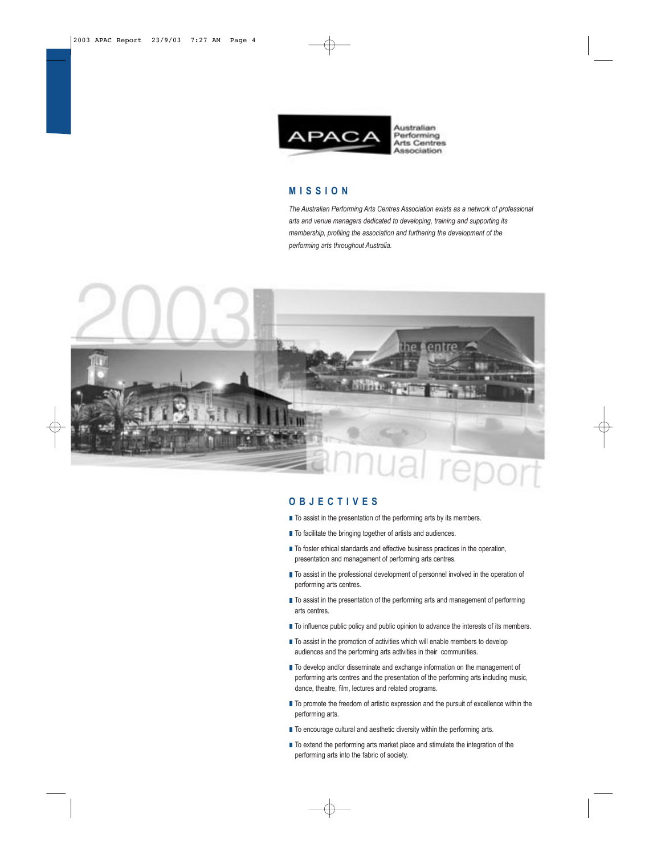

Association

# **MISSION**

*The Australian Performing Arts Centres Association exists as a network of professional arts and venue managers dedicated to developing, training and supporting its membership, profiling the association and furthering the development of the performing arts throughout Australia.*



#### **OBJECTIVES**

- $\blacksquare$  To assist in the presentation of the performing arts by its members.
- To facilitate the bringing together of artists and audiences.
- To foster ethical standards and effective business practices in the operation, presentation and management of performing arts centres.
- $\blacksquare$  To assist in the professional development of personnel involved in the operation of performing arts centres.
- $\blacksquare$  To assist in the presentation of the performing arts and management of performing arts centres.
- $\blacksquare$  To influence public policy and public opinion to advance the interests of its members.
- To assist in the promotion of activities which will enable members to develop audiences and the performing arts activities in their communities.
- To develop and/or disseminate and exchange information on the management of performing arts centres and the presentation of the performing arts including music, dance, theatre, film, lectures and related programs.
- To promote the freedom of artistic expression and the pursuit of excellence within the performing arts.
- To encourage cultural and aesthetic diversity within the performing arts.
- To extend the performing arts market place and stimulate the integration of the performing arts into the fabric of society.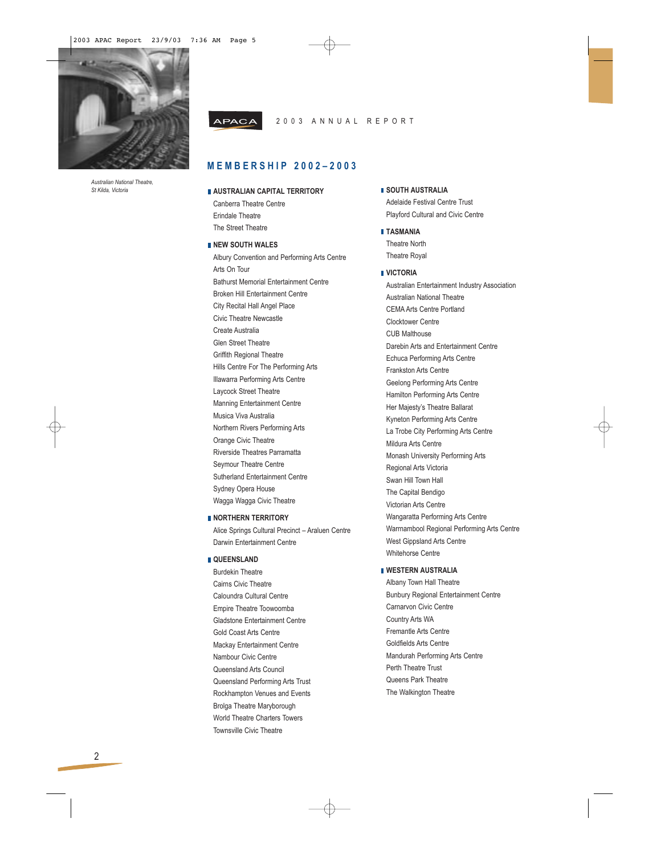

*Australian National Theatre, St Kilda, Victoria*

#### **APACA** 2003 ANNUAL REPORT

# **MEMBERSHIP 2002–2003**

#### **AUSTRALIAN CAPITAL TERRITORY** Canberra Theatre Centre

Erindale Theatre The Street Theatre

#### **NEW SOUTH WALES**

Albury Convention and Performing Arts Centre Arts On Tour Bathurst Memorial Entertainment Centre Broken Hill Entertainment Centre City Recital Hall Angel Place Civic Theatre Newcastle Create Australia Glen Street Theatre Griffith Regional Theatre Hills Centre For The Performing Arts Illawarra Performing Arts Centre Laycock Street Theatre Manning Entertainment Centre Musica Viva Australia Northern Rivers Performing Arts Orange Civic Theatre Riverside Theatres Parramatta Seymour Theatre Centre Sutherland Entertainment Centre Sydney Opera House Wagga Wagga Civic Theatre

# **NORTHERN TERRITORY**

Alice Springs Cultural Precinct – Araluen Centre Darwin Entertainment Centre

### **QUEENSLAND**

Burdekin Theatre Cairns Civic Theatre Caloundra Cultural Centre Empire Theatre Toowoomba Gladstone Entertainment Centre Gold Coast Arts Centre Mackay Entertainment Centre Nambour Civic Centre Queensland Arts Council Queensland Performing Arts Trust Rockhampton Venues and Events Brolga Theatre Maryborough World Theatre Charters Towers Townsville Civic Theatre

## **SOUTH AUSTRALIA**

Adelaide Festival Centre Trust Playford Cultural and Civic Centre

- **TASMANIA** Theatre North
- Theatre Royal

#### **VICTORIA**

Australian Entertainment Industry Association Australian National Theatre CEMA Arts Centre Portland Clocktower Centre CUB Malthouse Darebin Arts and Entertainment Centre Echuca Performing Arts Centre Frankston Arts Centre Geelong Performing Arts Centre Hamilton Performing Arts Centre Her Majesty's Theatre Ballarat Kyneton Performing Arts Centre La Trobe City Performing Arts Centre Mildura Arts Centre Monash University Performing Arts Regional Arts Victoria Swan Hill Town Hall The Capital Bendigo Victorian Arts Centre Wangaratta Performing Arts Centre Warrnambool Regional Performing Arts Centre West Gippsland Arts Centre Whitehorse Centre

# **WESTERN AUSTRALIA**

Albany Town Hall Theatre Bunbury Regional Entertainment Centre Carnarvon Civic Centre Country Arts WA Fremantle Arts Centre Goldfields Arts Centre Mandurah Performing Arts Centre Perth Theatre Trust Queens Park Theatre The Walkington Theatre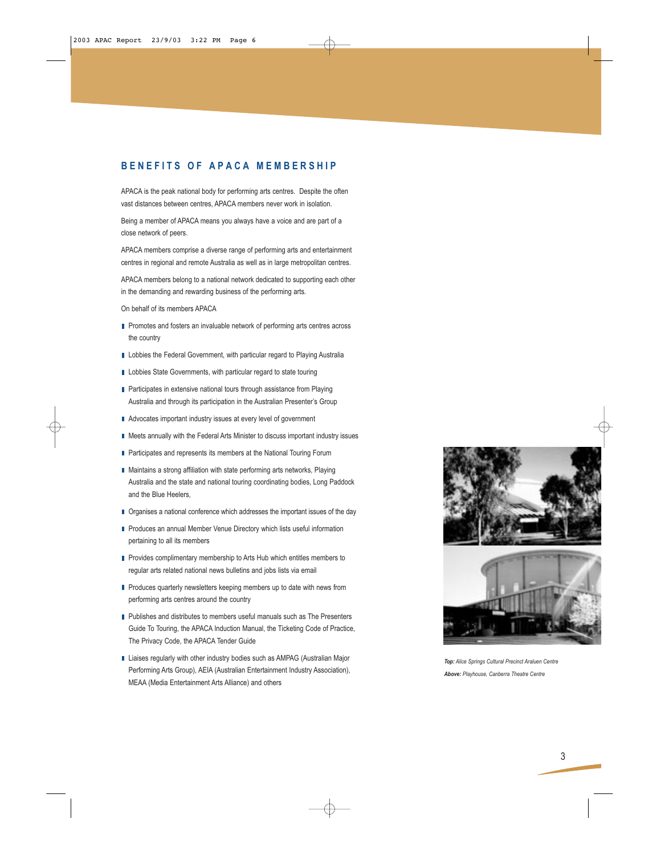# **BENEFITS OF APACA MEMBERSHIP**

APACA is the peak national body for performing arts centres. Despite the often vast distances between centres, APACA members never work in isolation.

Being a member of APACA means you always have a voice and are part of a close network of peers.

APACA members comprise a diverse range of performing arts and entertainment centres in regional and remote Australia as well as in large metropolitan centres.

APACA members belong to a national network dedicated to supporting each other in the demanding and rewarding business of the performing arts.

On behalf of its members APACA

- Promotes and fosters an invaluable network of performing arts centres across the country
- **Lobbies the Federal Government, with particular regard to Playing Australia**
- **Lobbies State Governments, with particular regard to state touring**
- Participates in extensive national tours through assistance from Playing Australia and through its participation in the Australian Presenter's Group
- Advocates important industry issues at every level of government
- Meets annually with the Federal Arts Minister to discuss important industry issues
- **Participates and represents its members at the National Touring Forum**
- Maintains a strong affiliation with state performing arts networks, Playing Australia and the state and national touring coordinating bodies, Long Paddock and the Blue Heelers,
- Organises a national conference which addresses the important issues of the day
- Produces an annual Member Venue Directory which lists useful information pertaining to all its members
- Provides complimentary membership to Arts Hub which entitles members to regular arts related national news bulletins and jobs lists via email
- Produces quarterly newsletters keeping members up to date with news from performing arts centres around the country
- Publishes and distributes to members useful manuals such as The Presenters Guide To Touring, the APACA Induction Manual, the Ticketing Code of Practice, The Privacy Code, the APACA Tender Guide
- Liaises regularly with other industry bodies such as AMPAG (Australian Major Performing Arts Group), AEIA (Australian Entertainment Industry Association), MEAA (Media Entertainment Arts Alliance) and others





*Top: Alice Springs Cultural Precinct Araluen Centre Above: Playhouse, Canberra Theatre Centre*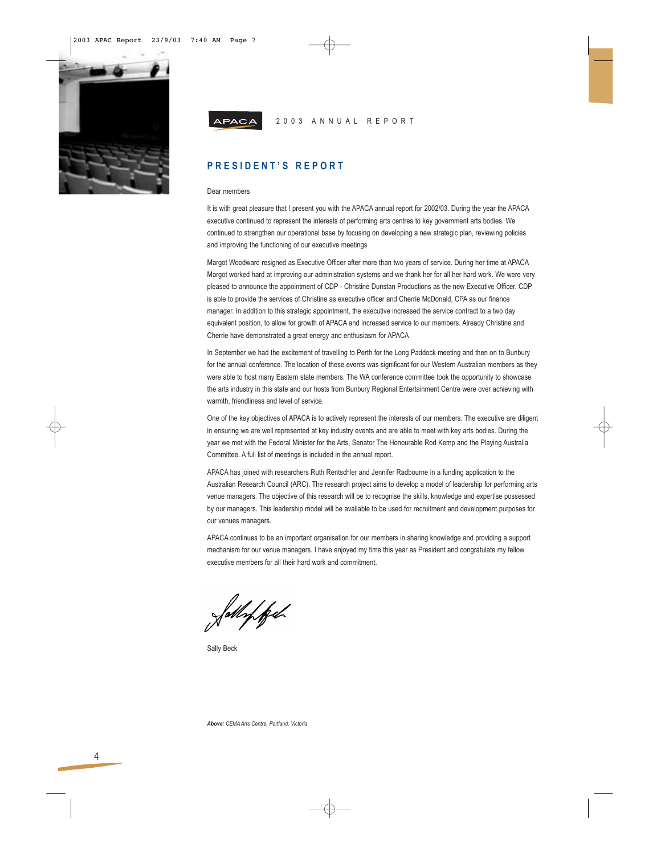

4

| APACA |  |  |  | 2003 ANNUAL REPORT |  |  |  |  |  |  |  |  |  |  |  |
|-------|--|--|--|--------------------|--|--|--|--|--|--|--|--|--|--|--|
|-------|--|--|--|--------------------|--|--|--|--|--|--|--|--|--|--|--|

# **PRESIDENT'S REPORT**

#### Dear members

It is with great pleasure that I present you with the APACA annual report for 2002/03. During the year the APACA executive continued to represent the interests of performing arts centres to key government arts bodies. We continued to strengthen our operational base by focusing on developing a new strategic plan, reviewing policies and improving the functioning of our executive meetings

Margot Woodward resigned as Executive Officer after more than two years of service. During her time at APACA Margot worked hard at improving our administration systems and we thank her for all her hard work. We were very pleased to announce the appointment of CDP - Christine Dunstan Productions as the new Executive Officer. CDP is able to provide the services of Christine as executive officer and Cherrie McDonald, CPA as our finance manager. In addition to this strategic appointment, the executive increased the service contract to a two day equivalent position, to allow for growth of APACA and increased service to our members. Already Christine and Cherrie have demonstrated a great energy and enthusiasm for APACA

In September we had the excitement of travelling to Perth for the Long Paddock meeting and then on to Bunbury for the annual conference. The location of these events was significant for our Western Australian members as they were able to host many Eastern state members. The WA conference committee took the opportunity to showcase the arts industry in this state and our hosts from Bunbury Regional Entertainment Centre were over achieving with warmth, friendliness and level of service.

One of the key objectives of APACA is to actively represent the interests of our members. The executive are diligent in ensuring we are well represented at key industry events and are able to meet with key arts bodies. During the year we met with the Federal Minister for the Arts, Senator The Honourable Rod Kemp and the Playing Australia Committee. A full list of meetings is included in the annual report.

APACA has joined with researchers Ruth Rentschler and Jennifer Radbourne in a funding application to the Australian Research Council (ARC). The research project aims to develop a model of leadership for performing arts venue managers. The objective of this research will be to recognise the skills, knowledge and expertise possessed by our managers. This leadership model will be available to be used for recruitment and development purposes for our venues managers.

APACA continues to be an important organisation for our members in sharing knowledge and providing a support mechanism for our venue managers. I have enjoyed my time this year as President and congratulate my fellow executive members for all their hard work and commitment.

Whipfel

Sally Beck

*Above: CEMA Arts Centre, Portland, Victoria*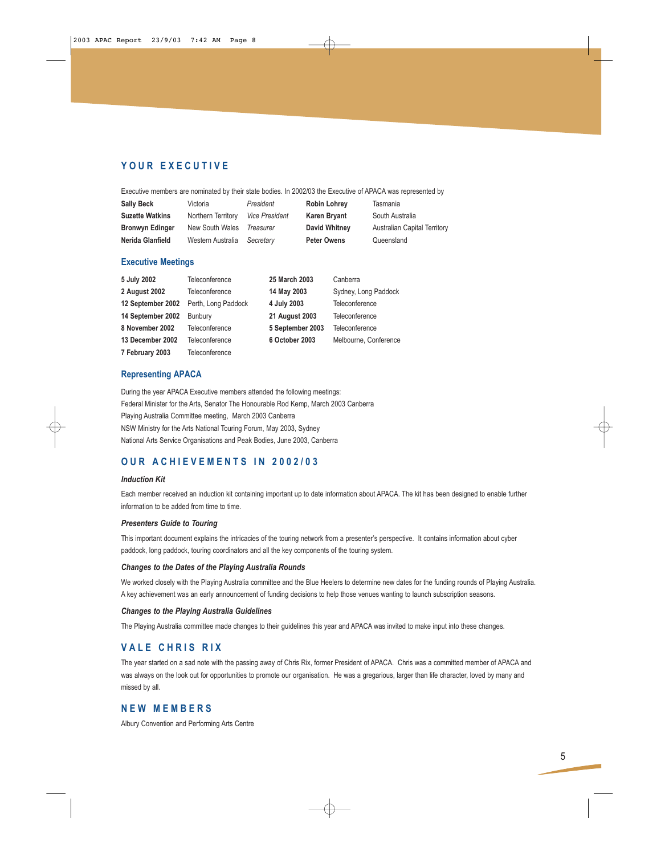# **YOUR EXECUTIVE**

Executive members are nominated by their state bodies. In 2002/03 the Executive of APACA was represented by

| <b>Sally Beck</b>      | Victoria           | President             | <b>Robin Lohrey</b>  | Tasmania                            |
|------------------------|--------------------|-----------------------|----------------------|-------------------------------------|
| <b>Suzette Watkins</b> | Northern Territory | <b>Vice President</b> | Karen Bryant         | South Australia                     |
| <b>Bronwyn Edinger</b> | New South Wales    | Treasurer             | <b>David Whitney</b> | <b>Australian Capital Territory</b> |
| Nerida Glanfield       | Western Australia  | Secretarv             | <b>Peter Owens</b>   | Queensland                          |

#### **Executive Meetings**

| 5 July 2002       | Teleconference      | 25 March 2003         | Canberra              |
|-------------------|---------------------|-----------------------|-----------------------|
| 2 August 2002     | Teleconference      | 14 May 2003           | Sydney, Long Paddock  |
| 12 September 2002 | Perth, Long Paddock | 4 July 2003           | Teleconference        |
| 14 September 2002 | Bunbury             | <b>21 August 2003</b> | Teleconference        |
| 8 November 2002   | Teleconference      | 5 September 2003      | Teleconference        |
| 13 December 2002  | Teleconference      | 6 October 2003        | Melbourne, Conference |
| 7 February 2003   | Teleconference      |                       |                       |

### **Representing APACA**

During the year APACA Executive members attended the following meetings: Federal Minister for the Arts, Senator The Honourable Rod Kemp, March 2003 Canberra Playing Australia Committee meeting, March 2003 Canberra NSW Ministry for the Arts National Touring Forum, May 2003, Sydney National Arts Service Organisations and Peak Bodies, June 2003, Canberra

# **OUR ACHIEVEMENTS IN 2002/03**

#### *Induction Kit*

Each member received an induction kit containing important up to date information about APACA. The kit has been designed to enable further information to be added from time to time.

#### *Presenters Guide to Touring*

This important document explains the intricacies of the touring network from a presenter's perspective. It contains information about cyber paddock, long paddock, touring coordinators and all the key components of the touring system.

#### *Changes to the Dates of the Playing Australia Rounds*

We worked closely with the Playing Australia committee and the Blue Heelers to determine new dates for the funding rounds of Playing Australia. A key achievement was an early announcement of funding decisions to help those venues wanting to launch subscription seasons.

#### *Changes to the Playing Australia Guidelines*

The Playing Australia committee made changes to their guidelines this year and APACA was invited to make input into these changes.

### **VALE CHRIS RIX**

The year started on a sad note with the passing away of Chris Rix, former President of APACA. Chris was a committed member of APACA and was always on the look out for opportunities to promote our organisation. He was a gregarious, larger than life character, loved by many and missed by all.

### **NEW MEMBERS**

Albury Convention and Performing Arts Centre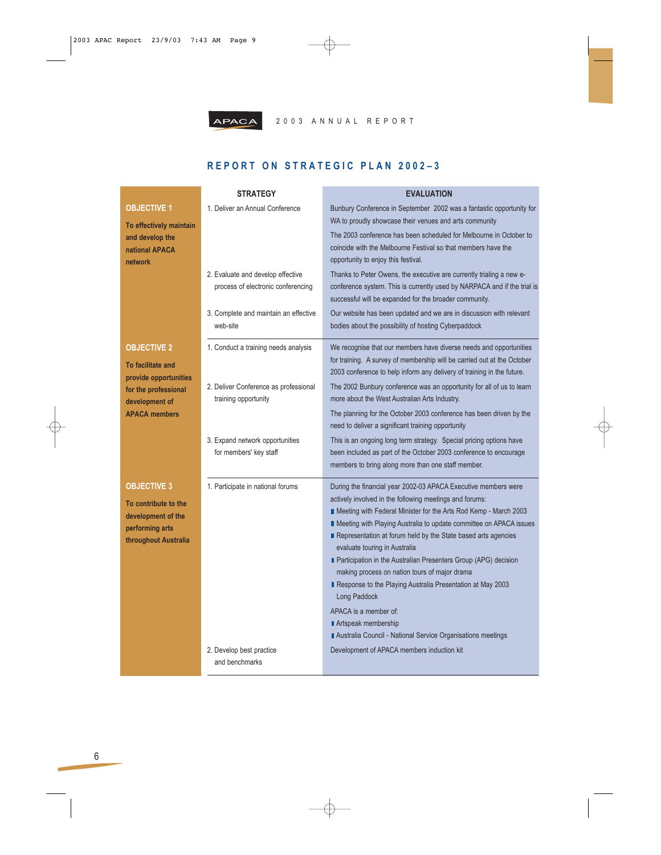

# **REPORT ON STRATEGIC PLAN 2002–3**

|                                                                                       | <b>STRATEGY</b>                                                         | <b>EVALUATION</b>                                                                                                                                                                                                                                                                                                                                                                                                                                                                                                                                             |
|---------------------------------------------------------------------------------------|-------------------------------------------------------------------------|---------------------------------------------------------------------------------------------------------------------------------------------------------------------------------------------------------------------------------------------------------------------------------------------------------------------------------------------------------------------------------------------------------------------------------------------------------------------------------------------------------------------------------------------------------------|
| <b>OBJECTIVE 1</b><br>To effectively maintain                                         | 1. Deliver an Annual Conference                                         | Bunbury Conference in September 2002 was a fantastic opportunity for<br>WA to proudly showcase their venues and arts community                                                                                                                                                                                                                                                                                                                                                                                                                                |
| and develop the<br>national APACA<br>network                                          |                                                                         | The 2003 conference has been scheduled for Melbourne in October to<br>coincide with the Melbourne Festival so that members have the<br>opportunity to enjoy this festival.                                                                                                                                                                                                                                                                                                                                                                                    |
|                                                                                       | 2. Evaluate and develop effective<br>process of electronic conferencing | Thanks to Peter Owens, the executive are currently trialing a new e-<br>conference system. This is currently used by NARPACA and if the trial is<br>successful will be expanded for the broader community.                                                                                                                                                                                                                                                                                                                                                    |
|                                                                                       | 3. Complete and maintain an effective<br>web-site                       | Our website has been updated and we are in discussion with relevant<br>bodies about the possibility of hosting Cyberpaddock                                                                                                                                                                                                                                                                                                                                                                                                                                   |
| <b>OBJECTIVE 2</b><br>To facilitate and<br>provide opportunities                      | 1. Conduct a training needs analysis                                    | We recognise that our members have diverse needs and opportunities<br>for training. A survey of membership will be carried out at the October<br>2003 conference to help inform any delivery of training in the future.                                                                                                                                                                                                                                                                                                                                       |
| for the professional<br>development of                                                | 2. Deliver Conference as professional<br>training opportunity           | The 2002 Bunbury conference was an opportunity for all of us to learn<br>more about the West Australian Arts Industry.                                                                                                                                                                                                                                                                                                                                                                                                                                        |
| <b>APACA members</b>                                                                  |                                                                         | The planning for the October 2003 conference has been driven by the<br>need to deliver a significant training opportunity                                                                                                                                                                                                                                                                                                                                                                                                                                     |
|                                                                                       | 3. Expand network opportunities<br>for members' key staff               | This is an ongoing long term strategy. Special pricing options have<br>been included as part of the October 2003 conference to encourage<br>members to bring along more than one staff member.                                                                                                                                                                                                                                                                                                                                                                |
| <b>OBJECTIVE 3</b>                                                                    | 1. Participate in national forums                                       | During the financial year 2002-03 APACA Executive members were<br>actively involved in the following meetings and forums:                                                                                                                                                                                                                                                                                                                                                                                                                                     |
| To contribute to the<br>development of the<br>performing arts<br>throughout Australia |                                                                         | ■ Meeting with Federal Minister for the Arts Rod Kemp - March 2003<br>■ Meeting with Playing Australia to update committee on APACA issues<br>Representation at forum held by the State based arts agencies<br>evaluate touring in Australia<br>Participation in the Australian Presenters Group (APG) decision<br>making process on nation tours of major drama<br>Response to the Playing Australia Presentation at May 2003<br>Long Paddock<br>APACA is a member of:<br>Artspeak membership<br>Australia Council - National Service Organisations meetings |
|                                                                                       | 2. Develop best practice<br>and benchmarks                              | Development of APACA members induction kit                                                                                                                                                                                                                                                                                                                                                                                                                                                                                                                    |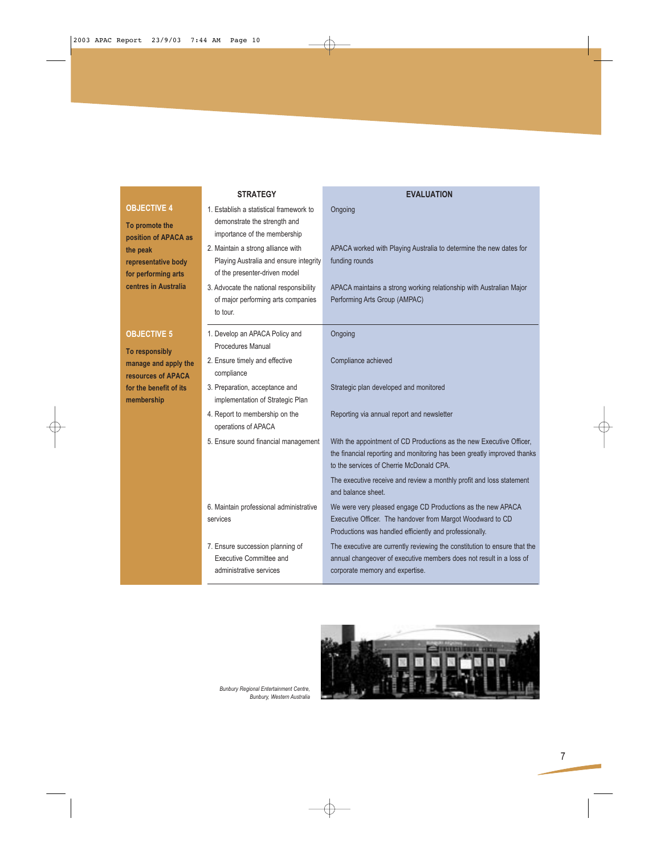# **STRATEGY EVALUATION**

# **To promote the position of APACA as the peak representative body for performing arts centres in Australia**

**OBJECTIVE 4**

### **OBJECTIVE 5**

**To responsibly manage and apply the resources of APACA for the benefit of its membership**

| 1. Establish a statistical framework to<br>demonstrate the strength and<br>importance of the membership       | Ongoing                                                                                                                                                                                     |
|---------------------------------------------------------------------------------------------------------------|---------------------------------------------------------------------------------------------------------------------------------------------------------------------------------------------|
| 2. Maintain a strong alliance with<br>Playing Australia and ensure integrity<br>of the presenter-driven model | APACA worked with Playing Australia to determine the new dates for<br>funding rounds                                                                                                        |
| 3. Advocate the national responsibility<br>of major performing arts companies<br>to tour.                     | APACA maintains a strong working relationship with Australian Major<br>Performing Arts Group (AMPAC)                                                                                        |
| 1. Develop an APACA Policy and<br>Procedures Manual                                                           | Ongoing                                                                                                                                                                                     |
| 2. Ensure timely and effective<br>compliance                                                                  | Compliance achieved                                                                                                                                                                         |
| 3. Preparation, acceptance and<br>implementation of Strategic Plan                                            | Strategic plan developed and monitored                                                                                                                                                      |
| 4. Report to membership on the<br>operations of APACA                                                         | Reporting via annual report and newsletter                                                                                                                                                  |
| 5. Ensure sound financial management                                                                          | With the appointment of CD Productions as the new Executive Officer,<br>the financial reporting and monitoring has been greatly improved thanks<br>to the services of Cherrie McDonald CPA. |
|                                                                                                               | The executive receive and review a monthly profit and loss statement<br>and balance sheet                                                                                                   |
| 6. Maintain professional administrative<br>services                                                           | We were very pleased engage CD Productions as the new APACA<br>Executive Officer. The handover from Margot Woodward to CD<br>Productions was handled efficiently and professionally.        |
| 7. Ensure succession planning of<br>Executive Committee and<br>administrative services                        | The executive are currently reviewing the constitution to ensure that the<br>annual changeover of executive members does not result in a loss of<br>corporate memory and expertise.         |



*Bunbury Regional Entertainment Centre, Bunbury, Western Australia*

</u>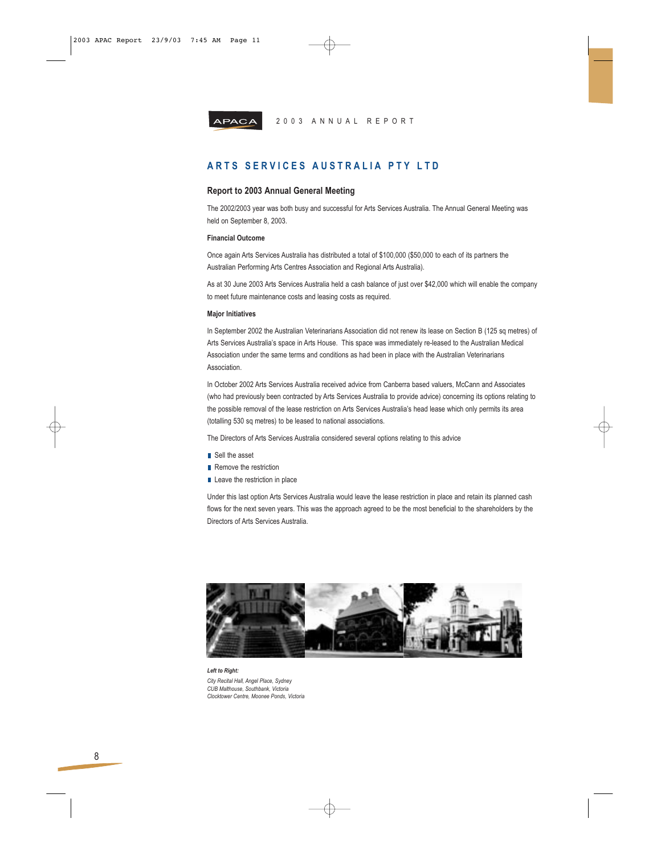



# **ARTS SERVICES AUSTRALIA PTY LTD**

#### **Report to 2003 Annual General Meeting**

The 2002/2003 year was both busy and successful for Arts Services Australia. The Annual General Meeting was held on September 8, 2003.

#### **Financial Outcome**

Once again Arts Services Australia has distributed a total of \$100,000 (\$50,000 to each of its partners the Australian Performing Arts Centres Association and Regional Arts Australia).

As at 30 June 2003 Arts Services Australia held a cash balance of just over \$42,000 which will enable the company to meet future maintenance costs and leasing costs as required.

#### **Major Initiatives**

In September 2002 the Australian Veterinarians Association did not renew its lease on Section B (125 sq metres) of Arts Services Australia's space in Arts House. This space was immediately re-leased to the Australian Medical Association under the same terms and conditions as had been in place with the Australian Veterinarians Association.

In October 2002 Arts Services Australia received advice from Canberra based valuers, McCann and Associates (who had previously been contracted by Arts Services Australia to provide advice) concerning its options relating to the possible removal of the lease restriction on Arts Services Australia's head lease which only permits its area (totalling 530 sq metres) to be leased to national associations.

The Directors of Arts Services Australia considered several options relating to this advice

- Sell the asset
- Remove the restriction
- Leave the restriction in place

Under this last option Arts Services Australia would leave the lease restriction in place and retain its planned cash flows for the next seven years. This was the approach agreed to be the most beneficial to the shareholders by the Directors of Arts Services Australia.



*Left to Right: City Recital Hall, Angel Place, Sydney CUB Malthouse, Southbank, Victoria Clocktower Centre, Moonee Ponds, Victoria*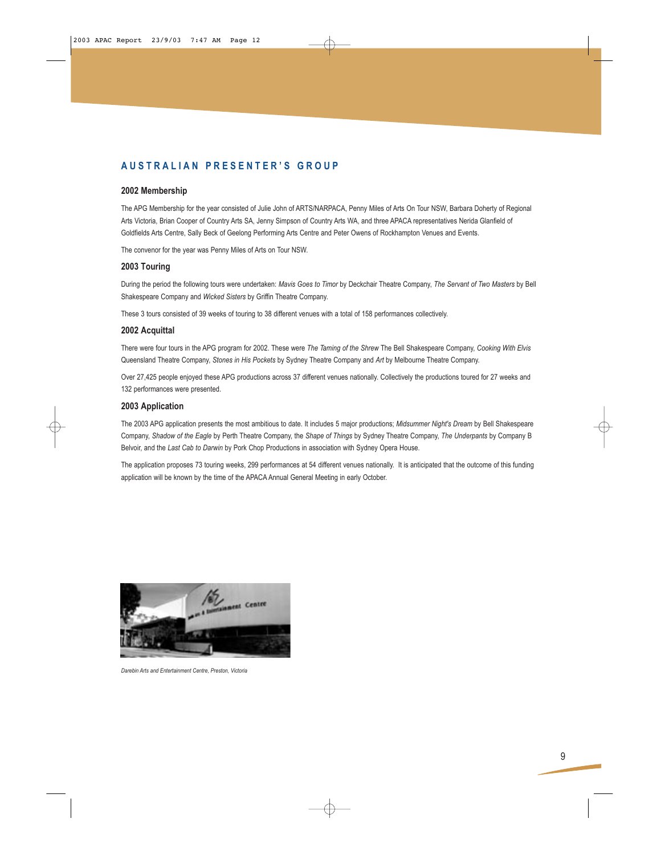# **AUSTRALIAN PRESENTER'S GROUP**

#### **2002 Membership**

The APG Membership for the year consisted of Julie John of ARTS/NARPACA, Penny Miles of Arts On Tour NSW, Barbara Doherty of Regional Arts Victoria, Brian Cooper of Country Arts SA, Jenny Simpson of Country Arts WA, and three APACA representatives Nerida Glanfield of Goldfields Arts Centre, Sally Beck of Geelong Performing Arts Centre and Peter Owens of Rockhampton Venues and Events.

The convenor for the year was Penny Miles of Arts on Tour NSW.

### **2003 Touring**

During the period the following tours were undertaken: *Mavis Goes to Timor* by Deckchair Theatre Company, *The Servant of Two Masters* by Bell Shakespeare Company and *Wicked Sisters* by Griffin Theatre Company.

These 3 tours consisted of 39 weeks of touring to 38 different venues with a total of 158 performances collectively.

#### **2002 Acquittal**

There were four tours in the APG program for 2002. These were *The Taming of the Shrew* The Bell Shakespeare Company, *Cooking With Elvis* Queensland Theatre Company, *Stones in His Pockets* by Sydney Theatre Company and *Art* by Melbourne Theatre Company.

Over 27,425 people enjoyed these APG productions across 37 different venues nationally. Collectively the productions toured for 27 weeks and 132 performances were presented.

#### **2003 Application**

The 2003 APG application presents the most ambitious to date. It includes 5 major productions; *Midsummer Night's Dream* by Bell Shakespeare Company, *Shadow of the Eagle* by Perth Theatre Company, the *Shape of Things* by Sydney Theatre Company, *The Underpants* by Company B Belvoir, and the *Last Cab to Darwin* by Pork Chop Productions in association with Sydney Opera House.

The application proposes 73 touring weeks, 299 performances at 54 different venues nationally. It is anticipated that the outcome of this funding application will be known by the time of the APACA Annual General Meeting in early October.



*Darebin Arts and Entertainment Centre, Preston, Victoria*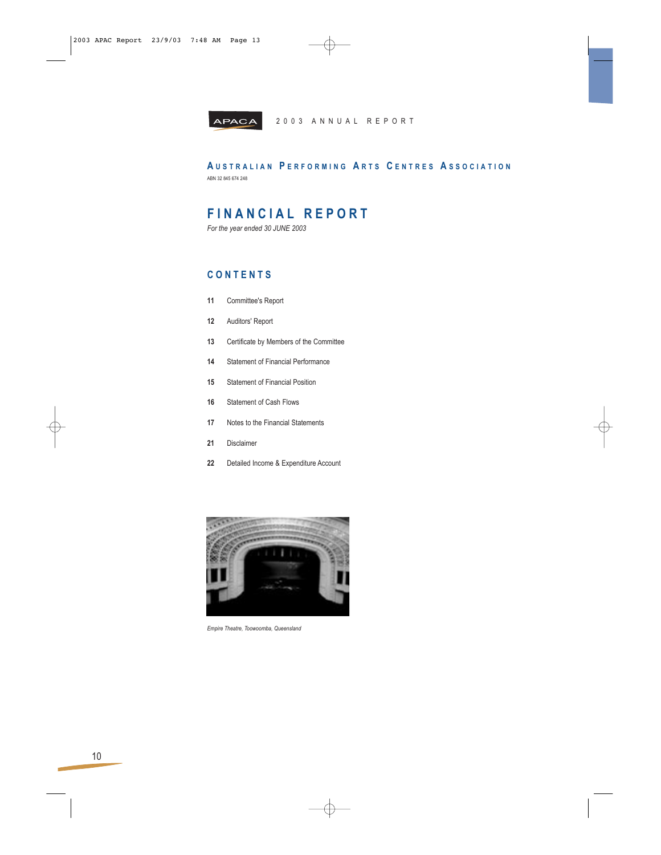

**A USTRALIAN P ERFORMING A RTS C ENTRES A SSOCIATION** ABN 32 845 674 248

# **FINANCIAL REPORT**

*For the year ended 30 JUNE 2003*

# **CONTENTS**

- **11** Committee's Report
- **12** Auditors' Report
- **13** Certificate by Members of the Committee
- **14** Statement of Financial Performance
- **15** Statement of Financial Position
- **16** Statement of Cash Flows
- **17** Notes to the Financial Statements
- **21** Disclaimer
- **22** Detailed Income & Expenditure Account



*Empire Theatre, Toowoomba, Queensland*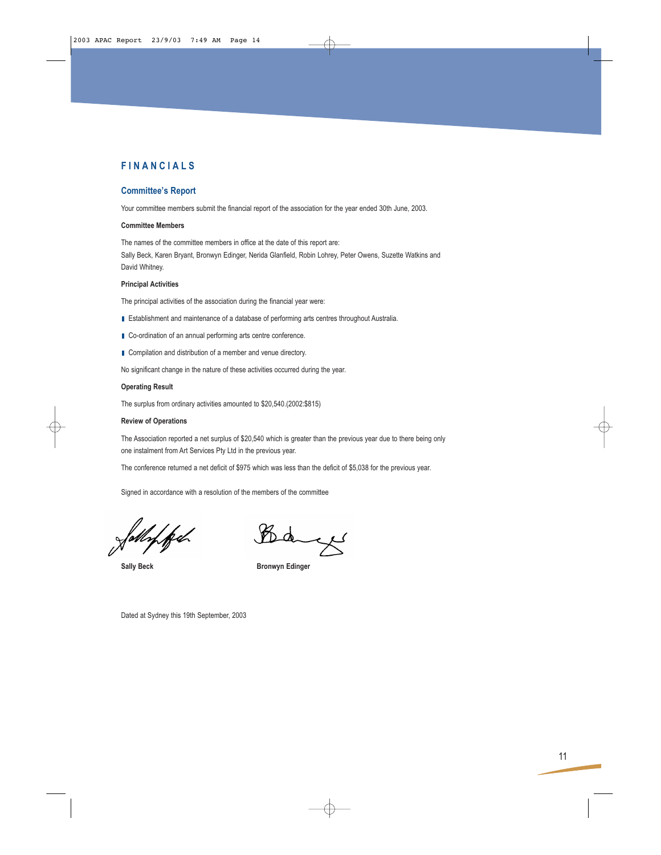### **Committee's Report**

Your committee members submit the financial report of the association for the year ended 30th June, 2003.

### **Committee Members**

The names of the committee members in office at the date of this report are: Sally Beck, Karen Bryant, Bronwyn Edinger, Nerida Glanfield, Robin Lohrey, Peter Owens, Suzette Watkins and David Whitney.

#### **Principal Activities**

The principal activities of the association during the financial year were:

- Establishment and maintenance of a database of performing arts centres throughout Australia.
- Co-ordination of an annual performing arts centre conference.
- Compilation and distribution of a member and venue directory.

No significant change in the nature of these activities occurred during the year.

#### **Operating Result**

The surplus from ordinary activities amounted to \$20,540.(2002:\$815)

#### **Review of Operations**

The Association reported a net surplus of \$20,540 which is greater than the previous year due to there being only one instalment from Art Services Pty Ltd in the previous year.

The conference returned a net deficit of \$975 which was less than the deficit of \$5,038 for the previous year.

Signed in accordance with a resolution of the members of the committee

L Da

Sally Beck **Bronwyn Edinger** 

Dated at Sydney this 19th September, 2003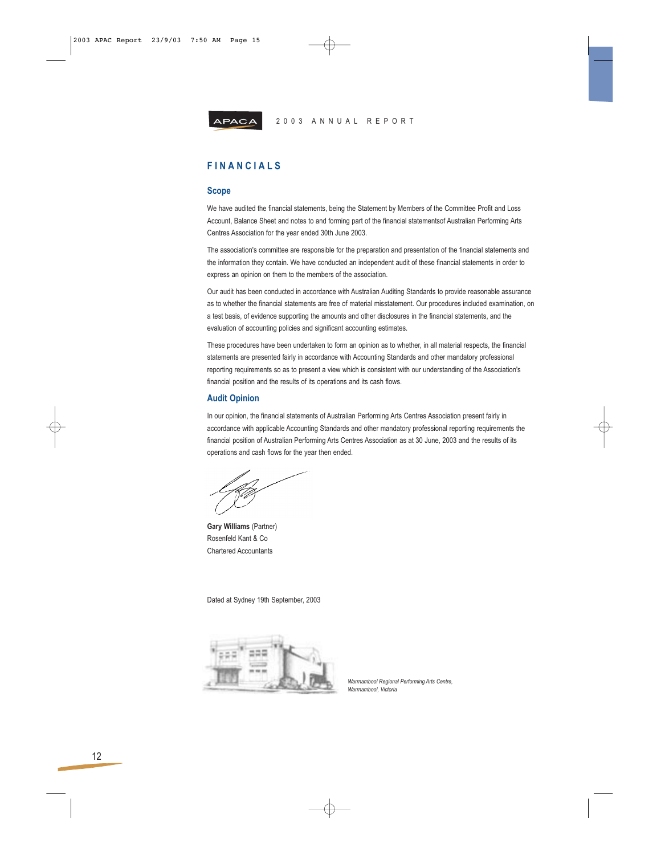

# **FINANCIALS**

#### **Scope**

We have audited the financial statements, being the Statement by Members of the Committee Profit and Loss Account, Balance Sheet and notes to and forming part of the financial statementsof Australian Performing Arts Centres Association for the year ended 30th June 2003.

The association's committee are responsible for the preparation and presentation of the financial statements and the information they contain. We have conducted an independent audit of these financial statements in order to express an opinion on them to the members of the association.

Our audit has been conducted in accordance with Australian Auditing Standards to provide reasonable assurance as to whether the financial statements are free of material misstatement. Our procedures included examination, on a test basis, of evidence supporting the amounts and other disclosures in the financial statements, and the evaluation of accounting policies and significant accounting estimates.

These procedures have been undertaken to form an opinion as to whether, in all material respects, the financial statements are presented fairly in accordance with Accounting Standards and other mandatory professional reporting requirements so as to present a view which is consistent with our understanding of the Association's financial position and the results of its operations and its cash flows.

#### **Audit Opinion**

In our opinion, the financial statements of Australian Performing Arts Centres Association present fairly in accordance with applicable Accounting Standards and other mandatory professional reporting requirements the financial position of Australian Performing Arts Centres Association as at 30 June, 2003 and the results of its operations and cash flows for the year then ended.

**Gary Williams** (Partner) Rosenfeld Kant & Co Chartered Accountants

Dated at Sydney 19th September, 2003



*Warrnambool Regional Performing Arts Centre, Warrnambool, Victoria*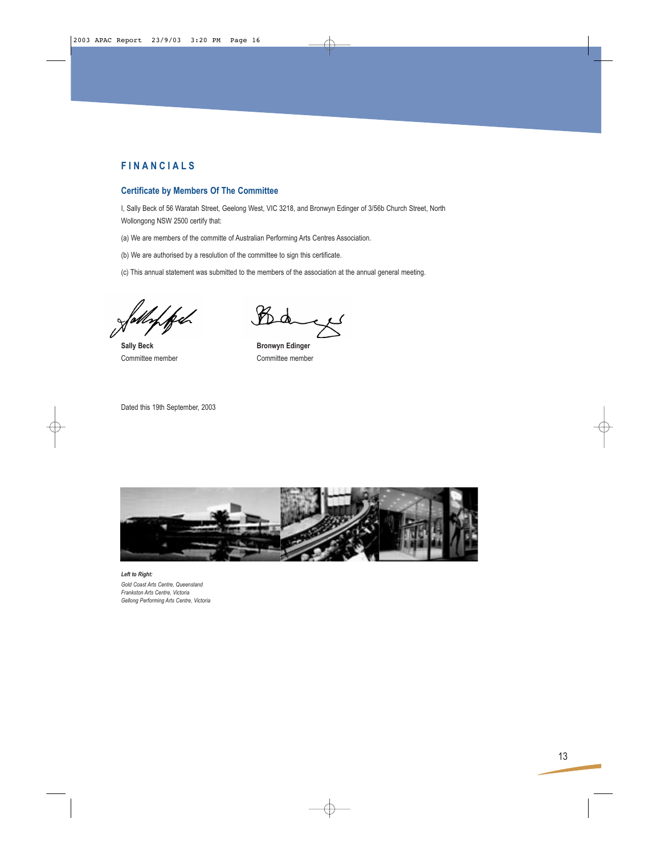## **Certificate by Members Of The Committee**

I, Sally Beck of 56 Waratah Street, Geelong West, VIC 3218, and Bronwyn Edinger of 3/56b Church Street, North Wollongong NSW 2500 certify that:

(a) We are members of the committe of Australian Performing Arts Centres Association.

(b) We are authorised by a resolution of the committee to sign this certificate.

(c) This annual statement was submitted to the members of the association at the annual general meeting.

Sally Beck **Bronwyn Edinger** 

مبرد

Committee member Committee member

Dated this 19th September, 2003



*Left to Right: Gold Coast Arts Centre, Queensland Frankston Arts Centre, Victoria Gellong Performing Arts Centre, Victoria*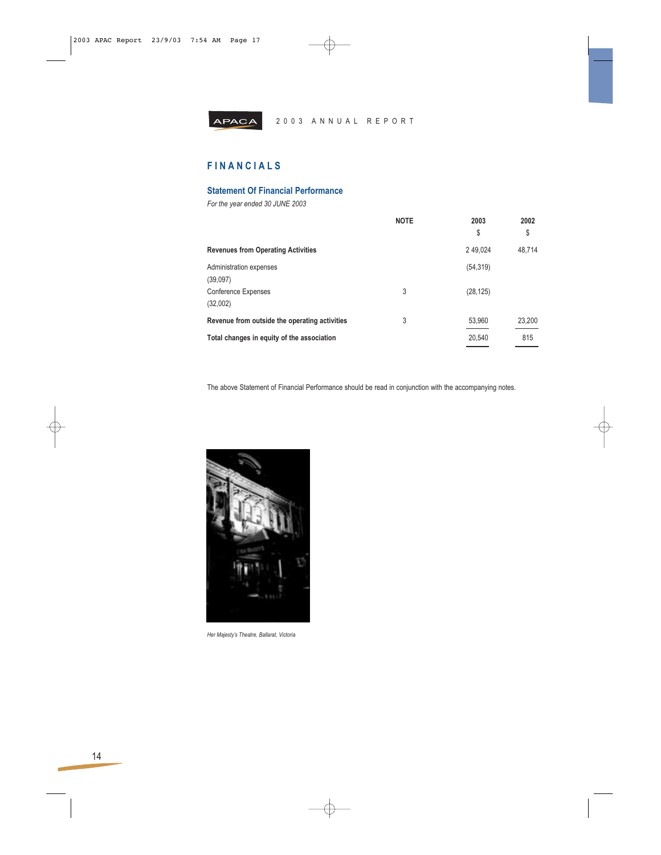

# **FINANCIALS**

# **Statement Of Financial Performance**

*For the year ended 30 JUNE 2003*

|                                               | <b>NOTE</b> | 2003<br>\$ | 2002<br>\$ |
|-----------------------------------------------|-------------|------------|------------|
| <b>Revenues from Operating Activities</b>     |             | 2 49,024   | 48.714     |
| Administration expenses<br>(39,097)           |             | (54, 319)  |            |
| <b>Conference Expenses</b><br>(32,002)        | 3           | (28, 125)  |            |
| Revenue from outside the operating activities | 3           | 53,960     | 23,200     |
| Total changes in equity of the association    |             | 20,540     | 815        |

The above Statement of Financial Performance should be read in conjunction with the accompanying notes.



*Her Majesty's Theatre, Ballarat, Victoria*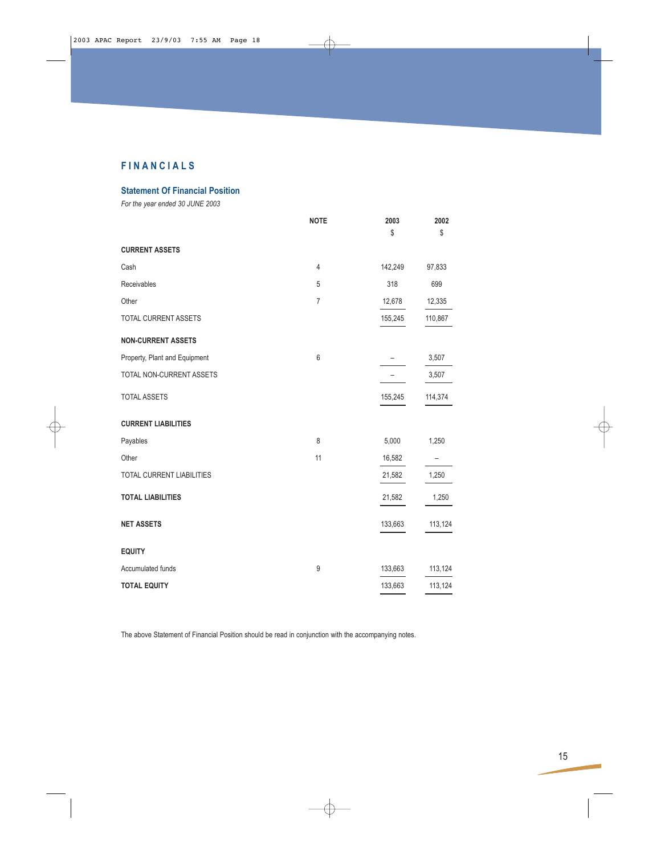**Statement Of Financial Position**

*For the year ended 30 JUNE 2003*

|                                  | <b>NOTE</b>    | 2003<br>\$ | 2002<br>\$ |
|----------------------------------|----------------|------------|------------|
| <b>CURRENT ASSETS</b>            |                |            |            |
| Cash                             | $\overline{4}$ | 142,249    | 97,833     |
| Receivables                      | 5              | 318        | 699        |
| Other                            | $\overline{7}$ | 12,678     | 12,335     |
| TOTAL CURRENT ASSETS             |                | 155,245    | 110,867    |
| <b>NON-CURRENT ASSETS</b>        |                |            |            |
| Property, Plant and Equipment    | 6              |            | 3,507      |
| TOTAL NON-CURRENT ASSETS         |                |            | 3,507      |
| <b>TOTAL ASSETS</b>              |                | 155,245    | 114,374    |
| <b>CURRENT LIABILITIES</b>       |                |            |            |
| Payables                         | 8              | 5,000      | 1,250      |
| Other                            | 11             | 16,582     |            |
| <b>TOTAL CURRENT LIABILITIES</b> |                | 21,582     | 1,250      |
| <b>TOTAL LIABILITIES</b>         |                | 21,582     | 1,250      |
| <b>NET ASSETS</b>                |                | 133,663    | 113,124    |
| <b>EQUITY</b>                    |                |            |            |
| Accumulated funds                | 9              | 133,663    | 113,124    |
| <b>TOTAL EQUITY</b>              |                | 133,663    | 113,124    |

The above Statement of Financial Position should be read in conjunction with the accompanying notes.

↔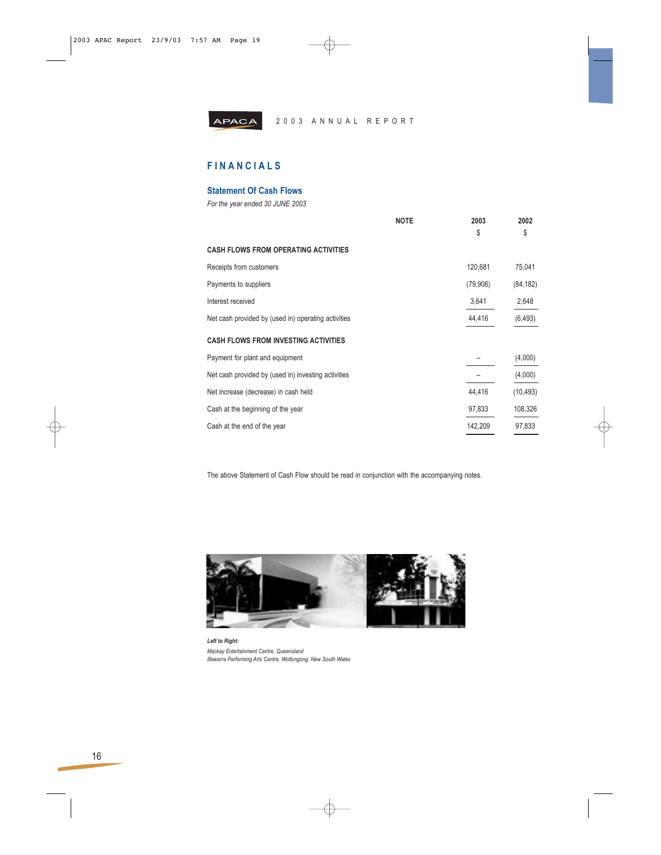

# **FINANCIALS**

### **Statement Of Cash Flows**

*For the year ended 30 JUNE 2003*

|                                                     | <b>NOTE</b> | 2003     | 2002      |
|-----------------------------------------------------|-------------|----------|-----------|
|                                                     |             | \$       | \$        |
| <b>CASH FLOWS FROM OPERATING ACTIVITIES</b>         |             |          |           |
| Receipts from customers                             |             | 120,681  | 75,041    |
| Payments to suppliers                               |             | (79,906) | (84, 182) |
| Interest received                                   |             | 3,641    | 2,648     |
| Net cash provided by (used in) operating activities |             | 44,416   | (6, 493)  |
| <b>CASH FLOWS FROM INVESTING ACTIVITIES</b>         |             |          |           |
| Payment for plant and equipment                     |             |          | (4,000)   |
| Net cash provided by (used in) investing activities |             |          | (4,000)   |
| Net increase (decrease) in cash held                |             | 44,416   | (10, 493) |
| Cash at the beginning of the year                   |             | 97,833   | 108,326   |
| Cash at the end of the year                         |             | 142,209  | 97,833    |

The above Statement of Cash Flow should be read in conjunction with the accompanying notes.



*Left to Right: Mackay Entertainment Centre, Queensland Illawarra Performing Arts Centre, Wollongong, New South Wales*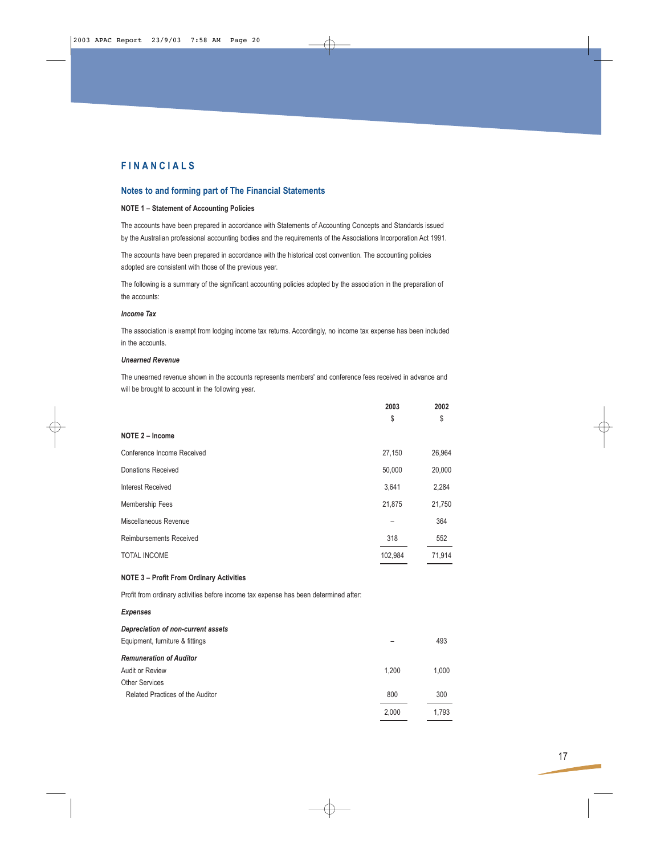#### **Notes to and forming part of The Financial Statements**

#### **NOTE 1 – Statement of Accounting Policies**

The accounts have been prepared in accordance with Statements of Accounting Concepts and Standards issued by the Australian professional accounting bodies and the requirements of the Associations Incorporation Act 1991.

The accounts have been prepared in accordance with the historical cost convention. The accounting policies adopted are consistent with those of the previous year.

The following is a summary of the significant accounting policies adopted by the association in the preparation of the accounts:

#### *Income Tax*

The association is exempt from lodging income tax returns. Accordingly, no income tax expense has been included in the accounts.

#### *Unearned Revenue*

The unearned revenue shown in the accounts represents members' and conference fees received in advance and will be brought to account in the following year.

|                                                                                      | 2003<br>\$ | 2002<br>\$ |
|--------------------------------------------------------------------------------------|------------|------------|
| NOTE 2 - Income                                                                      |            |            |
| Conference Income Received                                                           | 27,150     | 26,964     |
| <b>Donations Received</b>                                                            | 50,000     | 20,000     |
| <b>Interest Received</b>                                                             | 3,641      | 2,284      |
| Membership Fees                                                                      | 21,875     | 21,750     |
| Miscellaneous Revenue                                                                |            | 364        |
| <b>Reimbursements Received</b>                                                       | 318        | 552        |
| <b>TOTAL INCOME</b>                                                                  | 102,984    | 71,914     |
| <b>NOTE 3 - Profit From Ordinary Activities</b>                                      |            |            |
| Profit from ordinary activities before income tax expense has been determined after: |            |            |
| <b>Expenses</b>                                                                      |            |            |
| Depreciation of non-current assets<br>Equipment, furniture & fittings                |            | 493        |
| <b>Remuneration of Auditor</b>                                                       |            |            |
| Audit or Review                                                                      | 1,200      | 1,000      |
| <b>Other Services</b>                                                                |            |            |
| Related Practices of the Auditor                                                     | 800        | 300        |
|                                                                                      | 2,000      | 1,793      |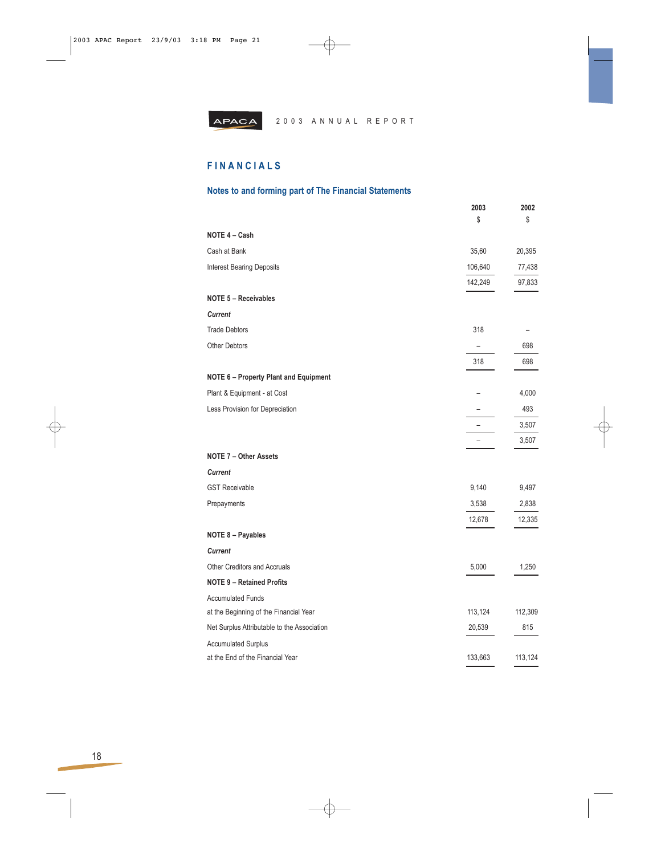

# **FINANCIALS**

# **Notes to and forming part of The Financial Statements**

|                                              | 2003                     | 2002    |
|----------------------------------------------|--------------------------|---------|
|                                              | \$                       | \$      |
| NOTE 4 - Cash                                |                          |         |
| Cash at Bank                                 | 35,60                    | 20,395  |
| <b>Interest Bearing Deposits</b>             | 106,640                  | 77,438  |
|                                              | 142,249                  | 97,833  |
| <b>NOTE 5 - Receivables</b>                  |                          |         |
| <b>Current</b>                               |                          |         |
| <b>Trade Debtors</b>                         | 318                      |         |
| <b>Other Debtors</b>                         | $\overline{\phantom{0}}$ | 698     |
|                                              | 318                      | 698     |
| <b>NOTE 6 - Property Plant and Equipment</b> |                          |         |
| Plant & Equipment - at Cost                  |                          | 4,000   |
| Less Provision for Depreciation              |                          | 493     |
|                                              |                          | 3,507   |
|                                              | -                        | 3,507   |
| <b>NOTE 7 - Other Assets</b>                 |                          |         |
| <b>Current</b>                               |                          |         |
| <b>GST Receivable</b>                        | 9,140                    | 9,497   |
| Prepayments                                  | 3,538                    | 2,838   |
|                                              | 12,678                   | 12,335  |
| <b>NOTE 8 - Payables</b>                     |                          |         |
| <b>Current</b>                               |                          |         |
| <b>Other Creditors and Accruals</b>          | 5,000                    | 1,250   |
| <b>NOTE 9 - Retained Profits</b>             |                          |         |
| <b>Accumulated Funds</b>                     |                          |         |
| at the Beginning of the Financial Year       | 113,124                  | 112,309 |
| Net Surplus Attributable to the Association  | 20,539                   | 815     |
| <b>Accumulated Surplus</b>                   |                          |         |
| at the End of the Financial Year             | 133,663                  | 113,124 |

⊕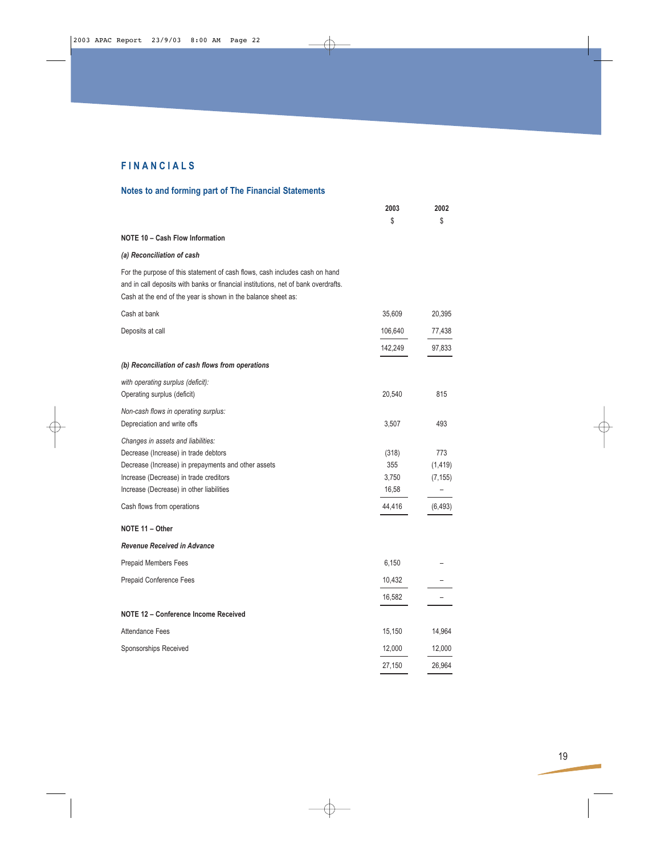# **Notes to and forming part of The Financial Statements**

|                                                                                                                                                                                                                                    | 2003                           | 2002                        |
|------------------------------------------------------------------------------------------------------------------------------------------------------------------------------------------------------------------------------------|--------------------------------|-----------------------------|
|                                                                                                                                                                                                                                    | \$                             | \$                          |
| <b>NOTE 10 - Cash Flow Information</b>                                                                                                                                                                                             |                                |                             |
| (a) Reconciliation of cash                                                                                                                                                                                                         |                                |                             |
| For the purpose of this statement of cash flows, cash includes cash on hand<br>and in call deposits with banks or financial institutions, net of bank overdrafts.<br>Cash at the end of the year is shown in the balance sheet as: |                                |                             |
| Cash at bank                                                                                                                                                                                                                       | 35,609                         | 20,395                      |
| Deposits at call                                                                                                                                                                                                                   | 106,640                        | 77,438                      |
|                                                                                                                                                                                                                                    | 142,249                        | 97,833                      |
| (b) Reconciliation of cash flows from operations                                                                                                                                                                                   |                                |                             |
| with operating surplus (deficit):<br>Operating surplus (deficit)                                                                                                                                                                   | 20,540                         | 815                         |
| Non-cash flows in operating surplus:<br>Depreciation and write offs                                                                                                                                                                | 3,507                          | 493                         |
| Changes in assets and liabilities:<br>Decrease (Increase) in trade debtors<br>Decrease (Increase) in prepayments and other assets<br>Increase (Decrease) in trade creditors<br>Increase (Decrease) in other liabilities            | (318)<br>355<br>3,750<br>16,58 | 773<br>(1, 419)<br>(7, 155) |
| Cash flows from operations                                                                                                                                                                                                         | 44,416                         | (6, 493)                    |
| NOTE 11 - Other                                                                                                                                                                                                                    |                                |                             |
| <b>Revenue Received in Advance</b>                                                                                                                                                                                                 |                                |                             |
| <b>Prepaid Members Fees</b>                                                                                                                                                                                                        | 6,150                          |                             |
| Prepaid Conference Fees                                                                                                                                                                                                            | 10,432                         |                             |
|                                                                                                                                                                                                                                    | 16,582                         |                             |
| NOTE 12 – Conference Income Received                                                                                                                                                                                               |                                |                             |
| Attendance Fees                                                                                                                                                                                                                    | 15,150                         | 14,964                      |
| Sponsorships Received                                                                                                                                                                                                              | 12,000                         | 12,000                      |
|                                                                                                                                                                                                                                    | 27,150                         | 26,964                      |

↔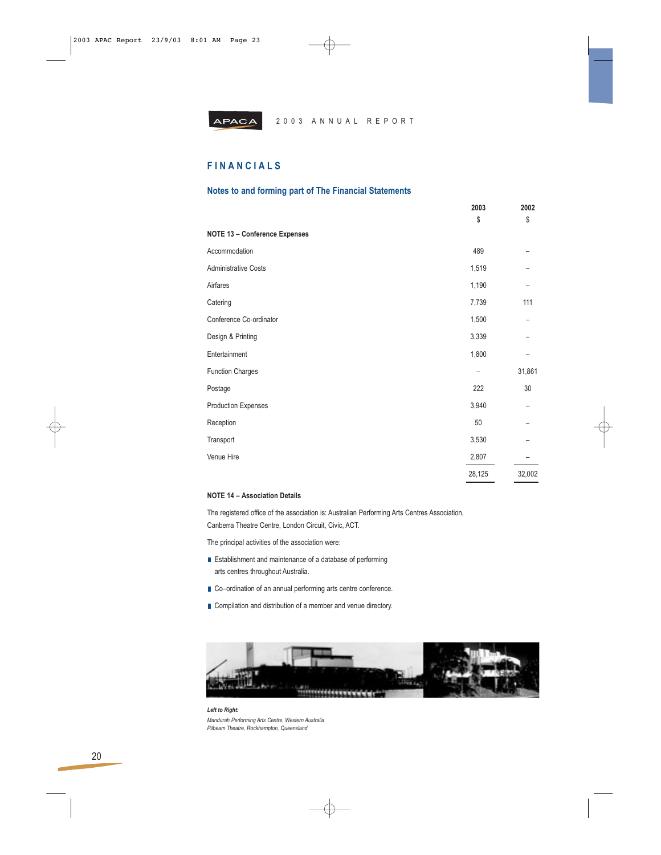

# **FINANCIALS**

#### **Notes to and forming part of The Financial Statements**

|                                      | 2003<br>\$ | 2002<br>\$ |
|--------------------------------------|------------|------------|
| <b>NOTE 13 - Conference Expenses</b> |            |            |
| Accommodation                        | 489        |            |
| <b>Administrative Costs</b>          | 1,519      |            |
| Airfares                             | 1,190      |            |
| Catering                             | 7,739      | 111        |
| Conference Co-ordinator              | 1,500      |            |
| Design & Printing                    | 3,339      |            |
| Entertainment                        | 1,800      |            |
| <b>Function Charges</b>              | -          | 31,861     |
| Postage                              | 222        | 30         |
| <b>Production Expenses</b>           | 3,940      |            |
| Reception                            | 50         |            |
| Transport                            | 3,530      |            |
| Venue Hire                           | 2,807      |            |
|                                      | 28,125     | 32,002     |

#### **NOTE 14 – Association Details**

The registered office of the association is: Australian Performing Arts Centres Association, Canberra Theatre Centre, London Circuit, Civic, ACT.

The principal activities of the association were:

- **E** Establishment and maintenance of a database of performing arts centres throughout Australia.
- Co–ordination of an annual performing arts centre conference.
- Compilation and distribution of a member and venue directory.



*Left to Right: Mandurah Performing Arts Centre, Western Australia Pilbeam Theatre, Rockhampton, Queensland*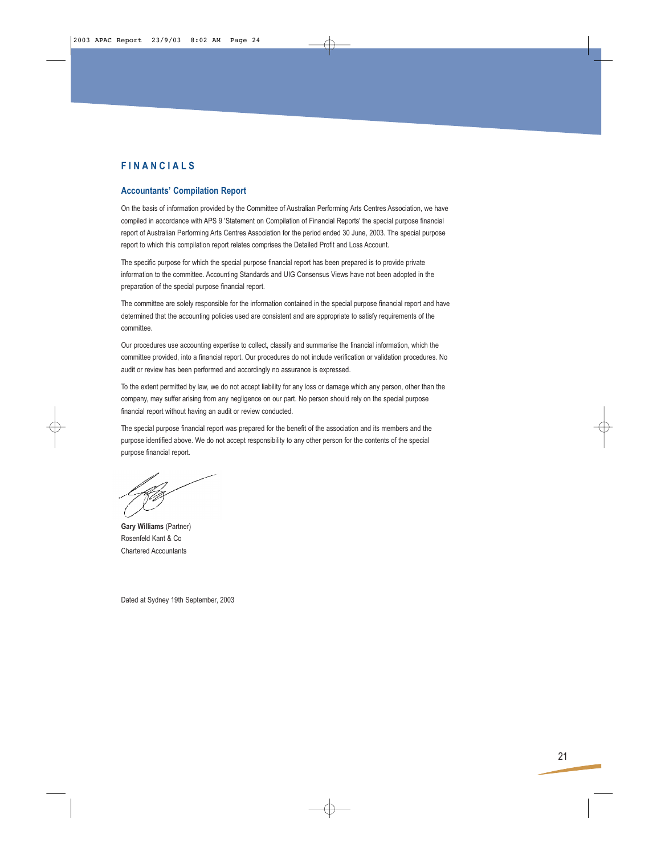### **Accountants' Compilation Report**

On the basis of information provided by the Committee of Australian Performing Arts Centres Association, we have compiled in accordance with APS 9 'Statement on Compilation of Financial Reports' the special purpose financial report of Australian Performing Arts Centres Association for the period ended 30 June, 2003. The special purpose report to which this compilation report relates comprises the Detailed Profit and Loss Account.

The specific purpose for which the special purpose financial report has been prepared is to provide private information to the committee. Accounting Standards and UIG Consensus Views have not been adopted in the preparation of the special purpose financial report.

The committee are solely responsible for the information contained in the special purpose financial report and have determined that the accounting policies used are consistent and are appropriate to satisfy requirements of the committee.

Our procedures use accounting expertise to collect, classify and summarise the financial information, which the committee provided, into a financial report. Our procedures do not include verification or validation procedures. No audit or review has been performed and accordingly no assurance is expressed.

To the extent permitted by law, we do not accept liability for any loss or damage which any person, other than the company, may suffer arising from any negligence on our part. No person should rely on the special purpose financial report without having an audit or review conducted.

The special purpose financial report was prepared for the benefit of the association and its members and the purpose identified above. We do not accept responsibility to any other person for the contents of the special purpose financial report.

21

**Gary Williams** (Partner) Rosenfeld Kant & Co Chartered Accountants

Dated at Sydney 19th September, 2003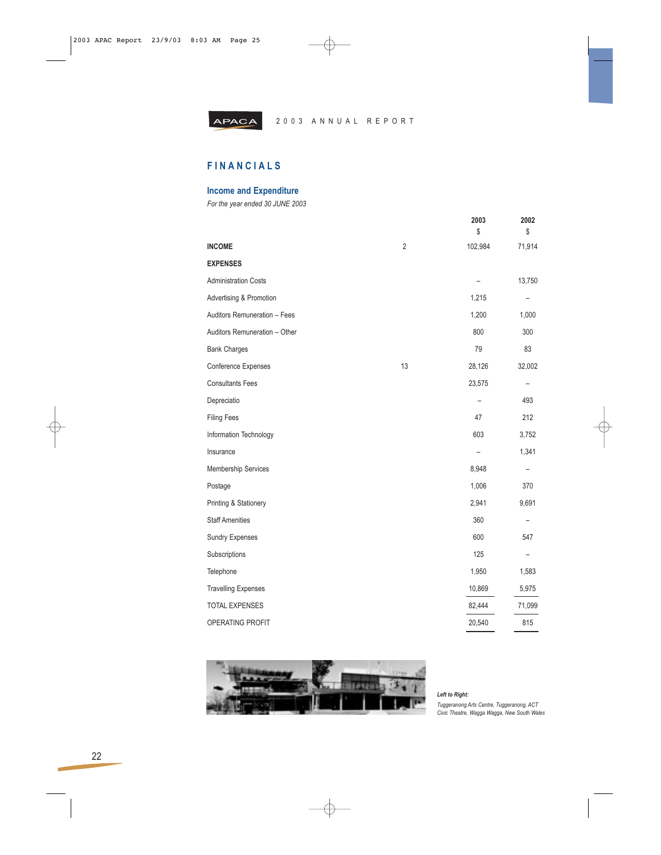

# **FINANCIALS**

# **Income and Expenditure**

*For the year ended 30 JUNE 2003*

|                               |                | 2003<br>\$     | 2002<br>\$               |
|-------------------------------|----------------|----------------|--------------------------|
| <b>INCOME</b>                 | $\overline{2}$ | 102,984        | 71,914                   |
| <b>EXPENSES</b>               |                |                |                          |
| <b>Administration Costs</b>   |                |                | 13,750                   |
| Advertising & Promotion       |                | 1,215          |                          |
| Auditors Remuneration - Fees  |                | 1,200          | 1,000                    |
| Auditors Remuneration - Other |                | 800            | 300                      |
| <b>Bank Charges</b>           |                | 79             | 83                       |
| Conference Expenses           | 13             | 28,126         | 32,002                   |
| <b>Consultants Fees</b>       |                | 23,575         | $\overline{\phantom{0}}$ |
| Depreciatio                   |                | $\overline{a}$ | 493                      |
| <b>Filing Fees</b>            |                | 47             | 212                      |
| Information Technology        |                | 603            | 3,752                    |
| Insurance                     |                |                | 1,341                    |
| <b>Membership Services</b>    |                | 8,948          | $\overline{\phantom{0}}$ |
| Postage                       |                | 1,006          | 370                      |
| Printing & Stationery         |                | 2,941          | 9,691                    |
| <b>Staff Amenities</b>        |                | 360            |                          |
| <b>Sundry Expenses</b>        |                | 600            | 547                      |
| Subscriptions                 |                | 125            | $\overline{a}$           |
| Telephone                     |                | 1,950          | 1,583                    |
| <b>Travelling Expenses</b>    |                | 10,869         | 5,975                    |
| <b>TOTAL EXPENSES</b>         |                | 82,444         | 71,099                   |
| <b>OPERATING PROFIT</b>       |                | 20,540         | 815                      |



⊕

*Left to Right: Tuggeranong Arts Centre, Tuggeranong, ACT Civic Theatre, Wagga Wagga, New South Wales*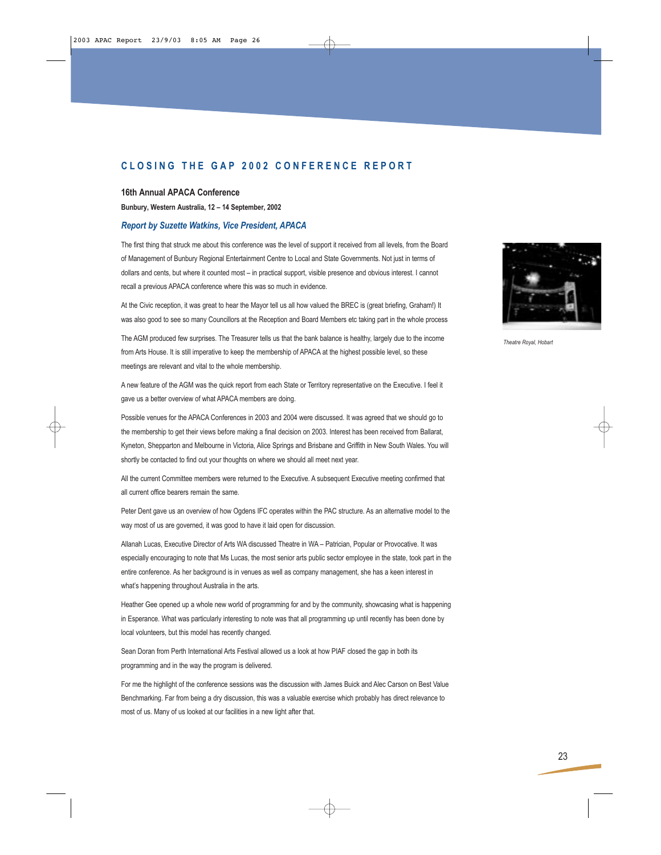# **CLOSING THE GAP 2002 CONFERENCE REPORT**

#### **16th Annual APACA Conference**

**Bunbury, Western Australia, 12 – 14 September, 2002**

### *Report by Suzette Watkins, Vice President, APACA*

The first thing that struck me about this conference was the level of support it received from all levels, from the Board of Management of Bunbury Regional Entertainment Centre to Local and State Governments. Not just in terms of dollars and cents, but where it counted most – in practical support, visible presence and obvious interest. I cannot recall a previous APACA conference where this was so much in evidence.

At the Civic reception, it was great to hear the Mayor tell us all how valued the BREC is (great briefing, Graham!) It was also good to see so many Councillors at the Reception and Board Members etc taking part in the whole process

The AGM produced few surprises. The Treasurer tells us that the bank balance is healthy, largely due to the income from Arts House. It is still imperative to keep the membership of APACA at the highest possible level, so these meetings are relevant and vital to the whole membership.

A new feature of the AGM was the quick report from each State or Territory representative on the Executive. I feel it gave us a better overview of what APACA members are doing.

Possible venues for the APACA Conferences in 2003 and 2004 were discussed. It was agreed that we should go to the membership to get their views before making a final decision on 2003. Interest has been received from Ballarat, Kyneton, Shepparton and Melbourne in Victoria, Alice Springs and Brisbane and Griffith in New South Wales. You will shortly be contacted to find out your thoughts on where we should all meet next year.

All the current Committee members were returned to the Executive. A subsequent Executive meeting confirmed that all current office bearers remain the same.

Peter Dent gave us an overview of how Ogdens IFC operates within the PAC structure. As an alternative model to the way most of us are governed, it was good to have it laid open for discussion.

Allanah Lucas, Executive Director of Arts WA discussed Theatre in WA – Patrician, Popular or Provocative. It was especially encouraging to note that Ms Lucas, the most senior arts public sector employee in the state, took part in the entire conference. As her background is in venues as well as company management, she has a keen interest in what's happening throughout Australia in the arts.

Heather Gee opened up a whole new world of programming for and by the community, showcasing what is happening in Esperance. What was particularly interesting to note was that all programming up until recently has been done by local volunteers, but this model has recently changed.

Sean Doran from Perth International Arts Festival allowed us a look at how PIAF closed the gap in both its programming and in the way the program is delivered.

For me the highlight of the conference sessions was the discussion with James Buick and Alec Carson on Best Value Benchmarking. Far from being a dry discussion, this was a valuable exercise which probably has direct relevance to most of us. Many of us looked at our facilities in a new light after that.



*Theatre Royal, Hobart*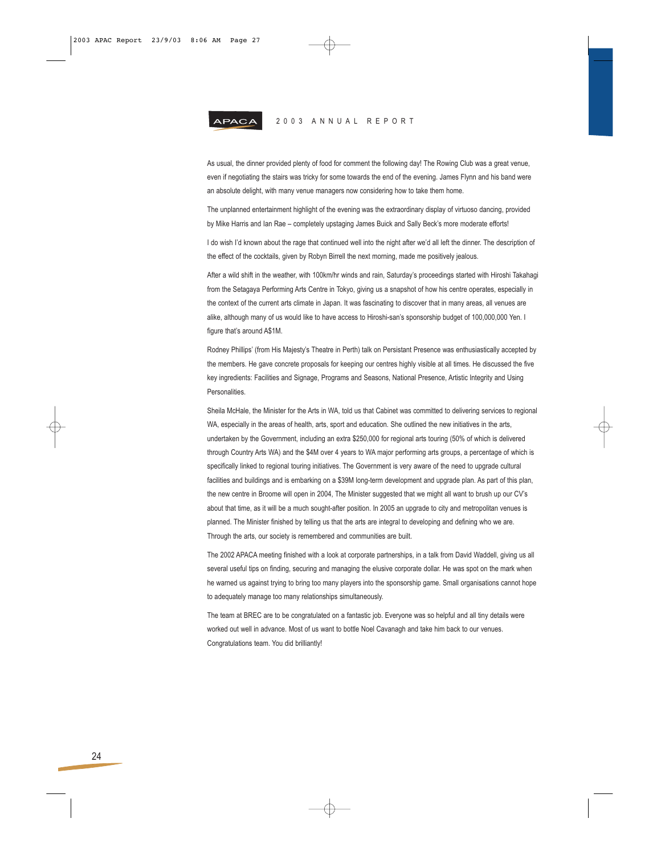

As usual, the dinner provided plenty of food for comment the following day! The Rowing Club was a great venue, even if negotiating the stairs was tricky for some towards the end of the evening. James Flynn and his band were an absolute delight, with many venue managers now considering how to take them home.

The unplanned entertainment highlight of the evening was the extraordinary display of virtuoso dancing, provided by Mike Harris and Ian Rae – completely upstaging James Buick and Sally Beck's more moderate efforts!

I do wish I'd known about the rage that continued well into the night after we'd all left the dinner. The description of the effect of the cocktails, given by Robyn Birrell the next morning, made me positively jealous.

After a wild shift in the weather, with 100km/hr winds and rain, Saturday's proceedings started with Hiroshi Takahagi from the Setagaya Performing Arts Centre in Tokyo, giving us a snapshot of how his centre operates, especially in the context of the current arts climate in Japan. It was fascinating to discover that in many areas, all venues are alike, although many of us would like to have access to Hiroshi-san's sponsorship budget of 100,000,000 Yen. I figure that's around A\$1M.

Rodney Phillips' (from His Majesty's Theatre in Perth) talk on Persistant Presence was enthusiastically accepted by the members. He gave concrete proposals for keeping our centres highly visible at all times. He discussed the five key ingredients: Facilities and Signage, Programs and Seasons, National Presence, Artistic Integrity and Using **Personalities** 

Sheila McHale, the Minister for the Arts in WA, told us that Cabinet was committed to delivering services to regional WA, especially in the areas of health, arts, sport and education. She outlined the new initiatives in the arts, undertaken by the Government, including an extra \$250,000 for regional arts touring (50% of which is delivered through Country Arts WA) and the \$4M over 4 years to WA major performing arts groups, a percentage of which is specifically linked to regional touring initiatives. The Government is very aware of the need to upgrade cultural facilities and buildings and is embarking on a \$39M long-term development and upgrade plan. As part of this plan, the new centre in Broome will open in 2004, The Minister suggested that we might all want to brush up our CV's about that time, as it will be a much sought-after position. In 2005 an upgrade to city and metropolitan venues is planned. The Minister finished by telling us that the arts are integral to developing and defining who we are. Through the arts, our society is remembered and communities are built.

The 2002 APACA meeting finished with a look at corporate partnerships, in a talk from David Waddell, giving us all several useful tips on finding, securing and managing the elusive corporate dollar. He was spot on the mark when he warned us against trying to bring too many players into the sponsorship game. Small organisations cannot hope to adequately manage too many relationships simultaneously.

The team at BREC are to be congratulated on a fantastic job. Everyone was so helpful and all tiny details were worked out well in advance. Most of us want to bottle Noel Cavanagh and take him back to our venues. Congratulations team. You did brilliantly!